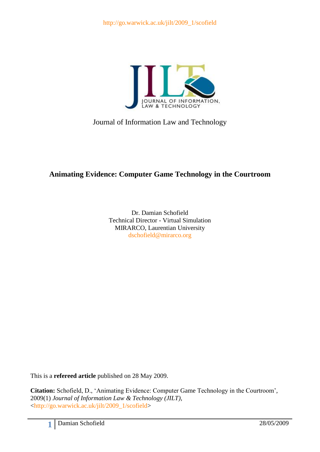

Journal of Information Law and Technology

# **Animating Evidence: Computer Game Technology in the Courtroom**

Dr. Damian Schofield Technical Director - Virtual Simulation MIRARCO, Laurentian University [dschofield@mirarco.org](mailto:dschofield@mirarco.org)

This is a **refereed article** published on 28 May 2009.

**Citation:** Schofield, D., 'Animating Evidence: Computer Game Technology in the Courtroom', 2009(1) *Journal of Information Law & Technology (JILT)*, [<http://go.warwick.ac.uk/jilt/2009\\_1/scofield>](http://go.warwick.ac.uk/jilt/2009_1/scofield)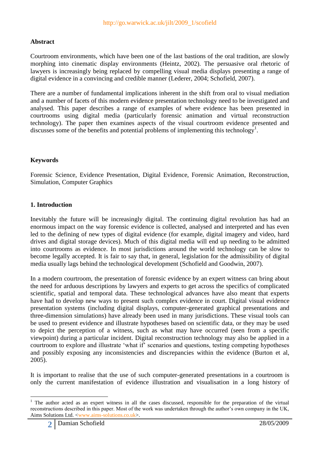# **Abstract**

Courtroom environments, which have been one of the last bastions of the oral tradition, are slowly morphing into cinematic display environments (Heintz, 2002). The persuasive oral rhetoric of lawyers is increasingly being replaced by compelling visual media displays presenting a range of digital evidence in a convincing and credible manner (Lederer, 2004; Schofield, 2007).

There are a number of fundamental implications inherent in the shift from oral to visual mediation and a number of facets of this modern evidence presentation technology need to be investigated and analysed. This paper describes a range of examples of where evidence has been presented in courtrooms using digital media (particularly forensic animation and virtual reconstruction technology). The paper then examines aspects of the visual courtroom evidence presented and discusses some of the benefits and potential problems of implementing this technology<sup>1</sup>.

# **Keywords**

Forensic Science, Evidence Presentation, Digital Evidence, Forensic Animation, Reconstruction, Simulation, Computer Graphics

### **1. Introduction**

Inevitably the future will be increasingly digital. The continuing digital revolution has had an enormous impact on the way forensic evidence is collected, analysed and interpreted and has even led to the defining of new types of digital evidence (for example, digital imagery and video, hard drives and digital storage devices). Much of this digital media will end up needing to be admitted into courtrooms as evidence. In most jurisdictions around the world technology can be slow to become legally accepted. It is fair to say that, in general, legislation for the admissibility of digital media usually lags behind the technological development (Schofield and Goodwin, 2007).

In a modern courtroom, the presentation of forensic evidence by an expert witness can bring about the need for arduous descriptions by lawyers and experts to get across the specifics of complicated scientific, spatial and temporal data. These technological advances have also meant that experts have had to develop new ways to present such complex evidence in court. Digital visual evidence presentation systems (including digital displays, computer-generated graphical presentations and three-dimension simulations) have already been used in many jurisdictions. These visual tools can be used to present evidence and illustrate hypotheses based on scientific data, or they may be used to depict the perception of a witness, such as what may have occurred (seen from a specific viewpoint) during a particular incident. Digital reconstruction technology may also be applied in a courtroom to explore and illustrate 'what if' scenarios and questions, testing competing hypotheses and possibly exposing any inconsistencies and discrepancies within the evidence (Burton et al, 2005).

It is important to realise that the use of such computer-generated presentations in a courtroom is only the current manifestation of evidence illustration and visualisation in a long history of

1

<sup>1</sup> The author acted as an expert witness in all the cases discussed, responsible for the preparation of the virtual reconstructions described in this paper. Most of the work was undertaken through the author's own company in the UK, Aims Solutions Ltd. [<www.aims-solutions.co.uk>](http://www.aims-solutions.co.uk/).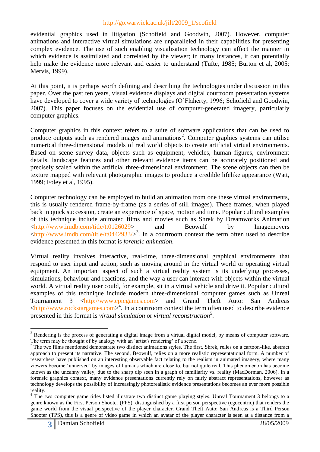evidential graphics used in litigation (Schofield and Goodwin, 2007). However, computer animations and interactive virtual simulations are unparalleled in their capabilities for presenting complex evidence. The use of such enabling visualisation technology can affect the manner in which evidence is assimilated and correlated by the viewer; in many instances, it can potentially help make the evidence more relevant and easier to understand (Tufte, 1985; Burton et al, 2005; Mervis, 1999).

At this point, it is perhaps worth defining and describing the technologies under discussion in this paper. Over the past ten years, visual evidence displays and digital courtroom presentation systems have developed to cover a wide variety of technologies (O'Flaherty, 1996; Schofield and Goodwin, 2007). This paper focuses on the evidential use of computer-generated imagery, particularly computer graphics.

Computer graphics in this context refers to a suite of software applications that can be used to produce outputs such as rendered images and animations<sup>2</sup>. Computer graphics systems can utilise numerical three-dimensional models of real world objects to create artificial virtual environments. Based on scene survey data, objects such as equipment, vehicles, human figures, environment details, landscape features and other relevant evidence items can be accurately positioned and precisely scaled within the artificial three-dimensional environment. The scene objects can then be texture mapped with relevant photographic images to produce a credible lifelike appearance (Watt, 1999; Foley et al, 1995).

Computer technology can be employed to build an animation from one these virtual environments, this is usually rendered frame-by-frame (as a series of still images). These frames, when played back in quick succession, create an experience of space, motion and time. Popular cultural examples of this technique include animated films and movies such as Shrek by Dreamworks Animation [<http://www.imdb.com/title/tt0126029>](http://www.imdb.com/title/tt0126029) and Beowulf by Imagemovers  $\langle \frac{http://www.indb.com/title/tt0442933}{>}^3$ . In a courtroom context the term often used to describe evidence presented in this format is *forensic animation*.

Virtual reality involves interactive, real-time, three-dimensional graphical environments that respond to user input and action, such as moving around in the virtual world or operating virtual equipment. An important aspect of such a virtual reality system is its underlying processes, simulations, behaviour and reactions, and the way a user can interact with objects within the virtual world. A virtual reality user could, for example, sit in a virtual vehicle and drive it. Popular cultural examples of this technique include modern three-dimensional computer games such as Unreal Tournament 3 [<http://www.epicgames.com>](http://www.epicgames.com/) and Grand Theft Auto: San Andreas [<http://www.rockstargames.com>](http://www.rockstargames.com/) 4 . In a courtroom context the term often used to describe evidence presented in this format is *virtual simulation* or *virtual reconstruction*<sup>5</sup> .

<sup>&</sup>lt;u>.</u>  $2$  Rendering is the process of generating a digital image from a virtual digital model, by means of computer software. The term may be thought of by analogy with an 'artist's rendering' of a scene.

<sup>&</sup>lt;sup>3</sup> The two films mentioned demonstrate two distinct animations styles. The first, Shrek, relies on a cartoon-like, abstract approach to present its narrative. The second, Beowulf, relies on a more realistic representational form. A number of researchers have published on an interesting observable fact relating to the realism in animated imagery, where many viewers become 'unnerved' by images of humans which are close to, but not quite real. This phenomenon has become known as the uncanny valley, due to the sharp dip seen in a graph of familiarity vs. reality (MacDorman, 2006). In a forensic graphics context, many evidence presentations currently rely on fairly abstract representations, however as technology develops the possibility of increasingly photorealistic evidence presentations becomes an ever more possible reality.

<sup>&</sup>lt;sup>4</sup> The two computer game titles listed illustrate two distinct game playing styles. Unreal Tournament 3 belongs to a genre known as the First Person Shooter (FPS), distinguished by a first person perspective (egocentric) that renders the game world from the visual perspective of the player character. Grand Theft Auto: San Andreas is a Third Person Shooter (TPS), this is a genre of video game in which an avatar of the player character is seen at a distance from a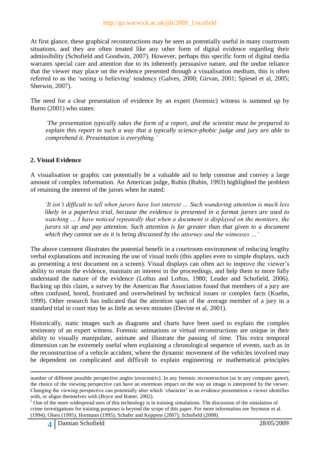At first glance, these graphical reconstructions may be seen as potentially useful in many courtroom situations, and they are often treated like any other form of digital evidence regarding their admissibility (Schofield and Goodwin, 2007). However, perhaps this specific form of digital media warrants special care and attention due to its inherently persuasive nature, and the undue reliance that the viewer may place on the evidence presented through a visualisation medium, this is often referred to as the 'seeing is believing' tendency (Galves, 2000; Girvan, 2001; Spiesel et al, 2005; Sherwin, 2007).

The need for a clear presentation of evidence by an expert (forensic) witness is summed up by Burns (2001) who states:

*'The presentation typically takes the form of a report, and the scientist must be prepared to explain this report in such a way that a typically science-phobic judge and jury are able to comprehend it. Presentation is everything.'*

# **2. Visual Evidence**

A visualisation or graphic can potentially be a valuable aid to help construe and convey a large amount of complex information. An American judge, Rubin (Rubin, 1993) highlighted the problem of retaining the interest of the jurors when he stated:

*'It isn't difficult to tell when jurors have lost interest … Such wandering attention is much less likely in a paperless trial, because the evidence is presented in a format jurors are used to watching … I have noticed repeatedly that when a document is displayed on the monitors, the jurors sit up and pay attention. Such attention is far greater than that given to a document which they cannot see as it is being discussed by the attorney and the witnesses …'*

The above comment illustrates the potential benefit in a courtroom environment of reducing lengthy verbal explanations and increasing the use of visual tools (this applies even to simple displays, such as presenting a text document on a screen). Visual displays can often act to improve the viewer's ability to retain the evidence, maintain an interest in the proceedings, and help them to more fully understand the nature of the evidence (Loftus and Loftus, 1980; Leader and Schofield, 2006). Backing up this claim, a survey by the American Bar Association found that members of a jury are often confused, bored, frustrated and overwhelmed by technical issues or complex facts (Kuehn, 1999). Other research has indicated that the attention span of the average member of a jury in a standard trial in court may be as little as seven minutes (Devine et al, 2001).

Historically, static images such as diagrams and charts have been used to explain the complex testimony of an expert witness. Forensic animations or virtual reconstructions are unique in their ability to visually manipulate, animate and illustrate the passing of time. This extra temporal dimension can be extremely useful when explaining a chronological sequence of events, such as in the reconstruction of a vehicle accident, where the dynamic movement of the vehicles involved may be dependent on complicated and difficult to explain engineering or mathematical principles

1

number of different possible perspective angles (exocentric). In any forensic reconstruction (as in any computer game), the choice of the viewing perspective can have an enormous impact on the way an image is interpreted by the viewer. Changing the viewing perspective can potentially alter which 'character' in an evidence presentation a viewer identifies with, or aligns themselves with (Bryce and Rutter, 2002).

<sup>&</sup>lt;sup>5</sup> One of the more widespread uses of this technology is in training simulations. The discussion of the simulation of crime investigations for training purposes is beyond the scope of this paper. For more information see Seymour et al. (1994); Olsen (1995); Hormann (1995); Schafer and Keppens (2007); Schofield (2008).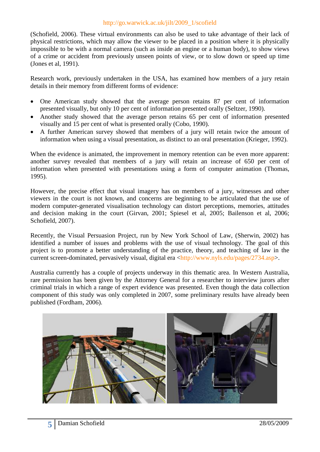(Schofield, 2006). These virtual environments can also be used to take advantage of their lack of physical restrictions, which may allow the viewer to be placed in a position where it is physically impossible to be with a normal camera (such as inside an engine or a human body), to show views of a crime or accident from previously unseen points of view, or to slow down or speed up time (Jones et al, 1991).

Research work, previously undertaken in the USA, has examined how members of a jury retain details in their memory from different forms of evidence:

- One American study showed that the average person retains 87 per cent of information presented visually, but only 10 per cent of information presented orally (Seltzer, 1990).
- Another study showed that the average person retains 65 per cent of information presented visually and 15 per cent of what is presented orally (Cobo, 1990).
- A further American survey showed that members of a jury will retain twice the amount of information when using a visual presentation, as distinct to an oral presentation (Krieger, 1992).

When the evidence is animated, the improvement in memory retention can be even more apparent: another survey revealed that members of a jury will retain an increase of 650 per cent of information when presented with presentations using a form of computer animation (Thomas, 1995).

However, the precise effect that visual imagery has on members of a jury, witnesses and other viewers in the court is not known, and concerns are beginning to be articulated that the use of modern computer-generated visualisation technology can distort perceptions, memories, attitudes and decision making in the court (Girvan, 2001; Spiesel et al, 2005; Bailenson et al, 2006; Schofield, 2007).

Recently, the Visual Persuasion Project, run by New York School of Law, (Sherwin, 2002) has identified a number of issues and problems with the use of visual technology. The goal of this project is to promote a better understanding of the practice, theory, and teaching of law in the current screen-dominated, pervasively visual, digital era [<http://www.nyls.edu/pages/2734.asp>](http://www.nyls.edu/pages/2734.asp).

Australia currently has a couple of projects underway in this thematic area. In Western Australia, rare permission has been given by the Attorney General for a researcher to interview jurors after criminal trials in which a range of expert evidence was presented. Even though the data collection component of this study was only completed in 2007, some preliminary results have already been published (Fordham, 2006).

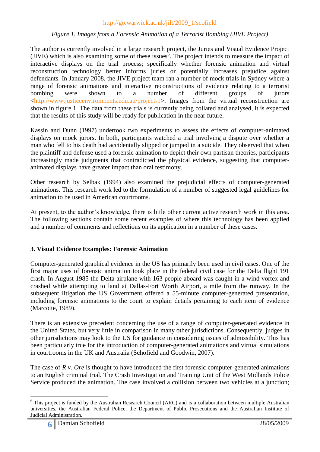### *Figure 1. Images from a Forensic Animation of a Terrorist Bombing (JIVE Project)*

The author is currently involved in a large research project, the Juries and Visual Evidence Project (JIVE) which is also examining some of these issues<sup>6</sup>. The project intends to measure the impact of interactive displays on the trial process; specifically whether forensic animation and virtual reconstruction technology better informs juries or potentially increases prejudice against defendants. In January 2008, the JIVE project team ran a number of mock trials in Sydney where a range of forensic animations and interactive reconstructions of evidence relating to a terrorist bombing were shown to a number of different groups of jurors [<http://www.justiceenvironments.edu.au/project-1>](http://www.justiceenvironments.edu.au/project-1). Images from the virtual reconstruction are shown in figure 1. The data from these trials is currently being collated and analysed, it is expected that the results of this study will be ready for publication in the near future.

Kassin and Dunn (1997) undertook two experiments to assess the effects of computer-animated displays on mock jurors. In both, participants watched a trial involving a dispute over whether a man who fell to his death had accidentally slipped or jumped in a suicide. They observed that when the plaintiff and defense used a forensic animation to depict their own partisan theories, participants increasingly made judgments that contradicted the physical evidence, suggesting that computeranimated displays have greater impact than oral testimony.

Other research by Selbak (1994) also examined the prejudicial effects of computer-generated animations. This research work led to the formulation of a number of suggested legal guidelines for animation to be used in American courtrooms.

At present, to the author's knowledge, there is little other current active research work in this area. The following sections contain some recent examples of where this technology has been applied and a number of comments and reflections on its application in a number of these cases.

### **3. Visual Evidence Examples: Forensic Animation**

Computer-generated graphical evidence in the US has primarily been used in civil cases. One of the first major uses of forensic animation took place in the federal civil case for the Delta flight 191 crash. In August 1985 the Delta airplane with 163 people aboard was caught in a wind vortex and crashed while attempting to land at Dallas-Fort Worth Airport, a mile from the runway. In the subsequent litigation the US Government offered a 55-minute computer-generated presentation, including forensic animations to the court to explain details pertaining to each item of evidence (Marcotte, 1989).

There is an extensive precedent concerning the use of a range of computer-generated evidence in the United States, but very little in comparison in many other jurisdictions. Consequently, judges in other jurisdictions may look to the US for guidance in considering issues of admissibility. This has been particularly true for the introduction of computer-generated animations and virtual simulations in courtrooms in the UK and Australia (Schofield and Goodwin, 2007).

The case of *R v. Ore* is thought to have introduced the first forensic computer-generated animations to an English criminal trial. The Crash Investigation and Training Unit of the West Midlands Police Service produced the animation. The case involved a collision between two vehicles at a junction;

<sup>1</sup> <sup>6</sup> This project is funded by the Australian Research Council (ARC) and is a collaboration between multiple Australian universities, the Australian Federal Police, the Department of Public Prosecutions and the Australian Institute of Judicial Administration.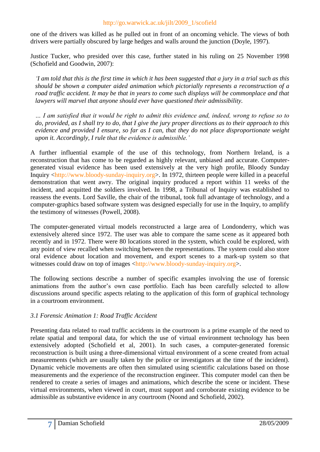one of the drivers was killed as he pulled out in front of an oncoming vehicle. The views of both drivers were partially obscured by large hedges and walls around the junction (Doyle, 1997).

Justice Tucker, who presided over this case, further stated in his ruling on 25 November 1998 (Schofield and Goodwin, 2007):

*'I am told that this is the first time in which it has been suggested that a jury in a trial such as this should be shown a computer aided animation which pictorially represents a reconstruction of a road traffic accident. It may be that in years to come such displays will be commonplace and that lawyers will marvel that anyone should ever have questioned their admissibility.*

*… I am satisfied that it would be right to admit this evidence and, indeed, wrong to refuse so to do, provided, as I shall try to do, that I give the jury proper directions as to their approach to this evidence and provided I ensure, so far as I can, that they do not place disproportionate weight upon it. Accordingly, I rule that the evidence is admissible.'*

A further influential example of the use of this technology, from Northern Ireland, is a reconstruction that has come to be regarded as highly relevant, unbiased and accurate. Computergenerated visual evidence has been used extensively at the very high profile, Bloody Sunday Inquiry [<http://www.bloody-sunday-inquiry.org>](http://www.bloody-sunday-inquiry.org/). In 1972, thirteen people were killed in a peaceful demonstration that went awry. The original inquiry produced a report within 11 weeks of the incident, and acquitted the soldiers involved. In 1998, a Tribunal of Inquiry was established to reassess the events. Lord Saville, the chair of the tribunal, took full advantage of technology, and a computer-graphics based software system was designed especially for use in the Inquiry, to amplify the testimony of witnesses (Powell, 2008).

The computer-generated virtual models reconstructed a large area of Londonderry, which was extensively altered since 1972. The user was able to compare the same scene as it appeared both recently and in 1972. There were 80 locations stored in the system, which could be explored, with any point of view recalled when switching between the representations. The system could also store oral evidence about location and movement, and export scenes to a mark-up system so that witnesses could draw on top of images [<http://www.bloody-sunday-inquiry.org>](http://www.bloody-sunday-inquiry.org/).

The following sections describe a number of specific examples involving the use of forensic animations from the author's own case portfolio. Each has been carefully selected to allow discussions around specific aspects relating to the application of this form of graphical technology in a courtroom environment.

### *3.1 Forensic Animation 1: Road Traffic Accident*

Presenting data related to road traffic accidents in the courtroom is a prime example of the need to relate spatial and temporal data, for which the use of virtual environment technology has been extensively adopted (Schofield et al, 2001). In such cases, a computer-generated forensic reconstruction is built using a three-dimensional virtual environment of a scene created from actual measurements (which are usually taken by the police or investigators at the time of the incident). Dynamic vehicle movements are often then simulated using scientific calculations based on those measurements and the experience of the reconstruction engineer. This computer model can then be rendered to create a series of images and animations, which describe the scene or incident. These virtual environments, when viewed in court, must support and corroborate existing evidence to be admissible as substantive evidence in any courtroom (Noond and Schofield, 2002).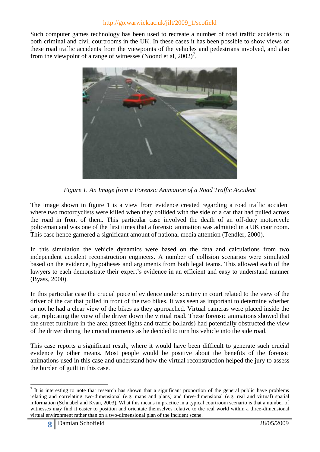Such computer games technology has been used to recreate a number of road traffic accidents in both criminal and civil courtrooms in the UK. In these cases it has been possible to show views of these road traffic accidents from the viewpoints of the vehicles and pedestrians involved, and also from the viewpoint of a range of witnesses (Noond et al,  $2002$ )<sup>7</sup>.



*Figure 1. An Image from a Forensic Animation of a Road Traffic Accident*

The image shown in figure 1 is a view from evidence created regarding a road traffic accident where two motorcyclists were killed when they collided with the side of a car that had pulled across the road in front of them. This particular case involved the death of an off-duty motorcycle policeman and was one of the first times that a forensic animation was admitted in a UK courtroom. This case hence garnered a significant amount of national media attention (Tendler, 2000).

In this simulation the vehicle dynamics were based on the data and calculations from two independent accident reconstruction engineers. A number of collision scenarios were simulated based on the evidence, hypotheses and arguments from both legal teams. This allowed each of the lawyers to each demonstrate their expert's evidence in an efficient and easy to understand manner (Byass, 2000).

In this particular case the crucial piece of evidence under scrutiny in court related to the view of the driver of the car that pulled in front of the two bikes. It was seen as important to determine whether or not he had a clear view of the bikes as they approached. Virtual cameras were placed inside the car, replicating the view of the driver down the virtual road. These forensic animations showed that the street furniture in the area (street lights and traffic bollards) had potentially obstructed the view of the driver during the crucial moments as he decided to turn his vehicle into the side road.

This case reports a significant result, where it would have been difficult to generate such crucial evidence by other means. Most people would be positive about the benefits of the forensic animations used in this case and understand how the virtual reconstruction helped the jury to assess the burden of guilt in this case.

<u>.</u>

 $<sup>7</sup>$  It is interesting to note that research has shown that a significant proportion of the general public have problems</sup> relating and correlating two-dimensional (e.g. maps and plans) and three-dimensional (e.g. real and virtual) spatial information (Schnabel and Kvan, 2003). What this means in practice in a typical courtroom scenario is that a number of witnesses may find it easier to position and orientate themselves relative to the real world within a three-dimensional virtual environment rather than on a two-dimensional plan of the incident scene.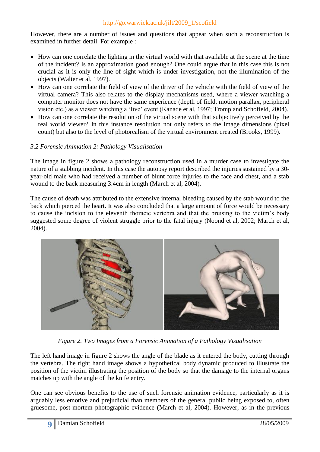However, there are a number of issues and questions that appear when such a reconstruction is examined in further detail. For example :

- How can one correlate the lighting in the virtual world with that available at the scene at the time of the incident? Is an approximation good enough? One could argue that in this case this is not crucial as it is only the line of sight which is under investigation, not the illumination of the objects (Walter et al, 1997).
- How can one correlate the field of view of the driver of the vehicle with the field of view of the virtual camera? This also relates to the display mechanisms used, where a viewer watching a computer monitor does not have the same experience (depth of field, motion parallax, peripheral vision etc.) as a viewer watching a 'live' event (Kanade et al, 1997; Tromp and Schofield, 2004).
- How can one correlate the resolution of the virtual scene with that subjectively perceived by the real world viewer? In this instance resolution not only refers to the image dimensions (pixel count) but also to the level of photorealism of the virtual environment created (Brooks, 1999).

# *3.2 Forensic Animation 2: Pathology Visualisation*

The image in figure 2 shows a pathology reconstruction used in a murder case to investigate the nature of a stabbing incident. In this case the autopsy report described the injuries sustained by a 30 year-old male who had received a number of blunt force injuries to the face and chest, and a stab wound to the back measuring 3.4cm in length (March et al, 2004).

The cause of death was attributed to the extensive internal bleeding caused by the stab wound to the back which pierced the heart. It was also concluded that a large amount of force would be necessary to cause the incision to the eleventh thoracic vertebra and that the bruising to the victim's body suggested some degree of violent struggle prior to the fatal injury (Noond et al, 2002; March et al, 2004).



*Figure 2. Two Images from a Forensic Animation of a Pathology Visualisation*

The left hand image in figure 2 shows the angle of the blade as it entered the body, cutting through the vertebra. The right hand image shows a hypothetical body dynamic produced to illustrate the position of the victim illustrating the position of the body so that the damage to the internal organs matches up with the angle of the knife entry.

One can see obvious benefits to the use of such forensic animation evidence, particularly as it is arguably less emotive and prejudicial than members of the general public being exposed to, often gruesome, post-mortem photographic evidence (March et al, 2004). However, as in the previous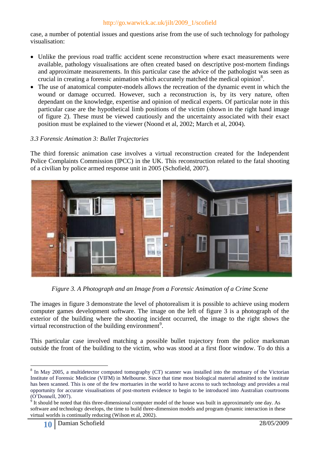case, a number of potential issues and questions arise from the use of such technology for pathology visualisation:

- Unlike the previous road traffic accident scene reconstruction where exact measurements were available, pathology visualisations are often created based on descriptive post-mortem findings and approximate measurements. In this particular case the advice of the pathologist was seen as crucial in creating a forensic animation which accurately matched the medical opinion<sup>8</sup>.
- The use of anatomical computer-models allows the recreation of the dynamic event in which the wound or damage occurred. However, such a reconstruction is, by its very nature, often dependant on the knowledge, expertise and opinion of medical experts. Of particular note in this particular case are the hypothetical limb positions of the victim (shown in the right hand image of figure 2). These must be viewed cautiously and the uncertainty associated with their exact position must be explained to the viewer (Noond et al, 2002; March et al, 2004).

# *3.3 Forensic Animation 3: Bullet Trajectories*

The third forensic animation case involves a virtual reconstruction created for the Independent Police Complaints Commission (IPCC) in the UK. This reconstruction related to the fatal shooting of a civilian by police armed response unit in 2005 (Schofield, 2007).



*Figure 3. A Photograph and an Image from a Forensic Animation of a Crime Scene* 

The images in figure 3 demonstrate the level of photorealism it is possible to achieve using modern computer games development software. The image on the left of figure 3 is a photograph of the exterior of the building where the shooting incident occurred, the image to the right shows the virtual reconstruction of the building environment<sup>9</sup>.

This particular case involved matching a possible bullet trajectory from the police marksman outside the front of the building to the victim, who was stood at a first floor window. To do this a

<u>.</u>

<sup>&</sup>lt;sup>8</sup> In May 2005, a multidetector computed tomography (CT) scanner was installed into the mortuary of the Victorian Institute of Forensic Medicine (VIFM) in Melbourne. Since that time most biological material admitted to the institute has been scanned. This is one of the few mortuaries in the world to have access to such technology and provides a real opportunity for accurate visualisations of post-mortem evidence to begin to be introduced into Australian courtrooms (O'Donnell, 2007).

 $9$  It should be noted that this three-dimensional computer model of the house was built in approximately one day. As software and technology develops, the time to build three-dimension models and program dynamic interaction in these virtual worlds is continually reducing (Wilson et al, 2002).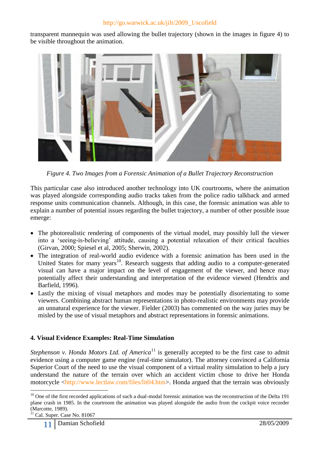transparent mannequin was used allowing the bullet trajectory (shown in the images in figure 4) to be visible throughout the animation.



*Figure 4. Two Images from a Forensic Animation of a Bullet Trajectory Reconstruction*

This particular case also introduced another technology into UK courtrooms, where the animation was played alongside corresponding audio tracks taken from the police radio talkback and armed response units communication channels. Although, in this case, the forensic animation was able to explain a number of potential issues regarding the bullet trajectory, a number of other possible issue emerge:

- The photorealistic rendering of components of the virtual model, may possibly lull the viewer into a 'seeing-is-believing' attitude, causing a potential relaxation of their critical faculties (Girvan, 2000; Spiesel et al, 2005; Sherwin, 2002).
- The integration of real-world audio evidence with a forensic animation has been used in the United States for many years<sup>10</sup>. Research suggests that adding audio to a computer-generated visual can have a major impact on the level of engagement of the viewer, and hence may potentially affect their understanding and interpretation of the evidence viewed (Hendrix and Barfield, 1996).
- Lastly the mixing of visual metaphors and modes may be potentially disorientating to some viewers. Combining abstract human representations in photo-realistic environments may provide an unnatural experience for the viewer. Fielder (2003) has commented on the way juries may be misled by the use of visual metaphors and abstract representations in forensic animations.

# **4. Visual Evidence Examples: Real-Time Simulation**

*Stephenson v. Honda Motors Ltd. of America*<sup>11</sup> is generally accepted to be the first case to admit evidence using a computer game engine (real-time simulator). The attorney convinced a California Superior Court of the need to use the visual component of a virtual reality simulation to help a jury understand the nature of the terrain over which an accident victim chose to drive her Honda motorcycle [<http://www.lectlaw.com/files/lit04.htm>](http://www.lectlaw.com/files/lit04.htm). Honda argued that the terrain was obviously

1

 $10$  One of the first recorded applications of such a dual-modal forensic animation was the reconstruction of the Delta 191 plane crash in 1985. In the courtroom the animation was played alongside the audio from the cockpit voice recorder (Marcotte, 1989).

 $11$  Cal. Super. Case No. 81067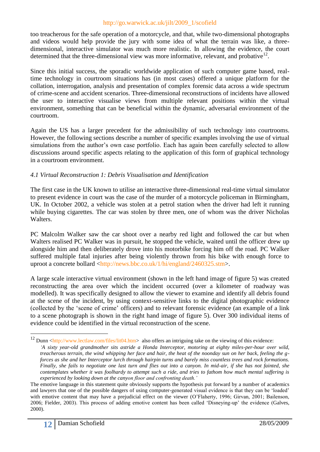too treacherous for the safe operation of a motorcycle, and that, while two-dimensional photographs and videos would help provide the jury with some idea of what the terrain was like, a threedimensional, interactive simulator was much more realistic. In allowing the evidence, the court determined that the three-dimensional view was more informative, relevant, and probative<sup>12</sup>.

Since this initial success, the sporadic worldwide application of such computer game based, realtime technology in courtroom situations has (in most cases) offered a unique platform for the collation, interrogation, analysis and presentation of complex forensic data across a wide spectrum of crime-scene and accident scenarios. Three-dimensional reconstructions of incidents have allowed the user to interactive visualise views from multiple relevant positions within the virtual environment, something that can be beneficial within the dynamic, adversarial environment of the courtroom.

Again the US has a larger precedent for the admissibility of such technology into courtrooms. However, the following sections describe a number of specific examples involving the use of virtual simulations from the author's own case portfolio. Each has again been carefully selected to allow discussions around specific aspects relating to the application of this form of graphical technology in a courtroom environment.

### *4.1 Virtual Reconstruction 1: Debris Visualisation and Identification*

The first case in the UK known to utilise an interactive three-dimensional real-time virtual simulator to present evidence in court was the case of the murder of a motorcycle policeman in Birmingham, UK. In October 2002, a vehicle was stolen at a petrol station when the driver had left it running while buying cigarettes. The car was stolen by three men, one of whom was the driver Nicholas Walters.

PC Malcolm Walker saw the car shoot over a nearby red light and followed the car but when Walters realised PC Walker was in pursuit, he stopped the vehicle, waited until the officer drew up alongside him and then deliberately drove into his motorbike forcing him off the road. PC Walker suffered multiple fatal injuries after being violently thrown from his bike with enough force to uproot a concrete bollard [<http://news.bbc.co.uk/1/hi/england/2460325.stm>](http://news.bbc.co.uk/1/hi/england/2460325.stm).

A large scale interactive virtual environment (shown in the left hand image of figure 5) was created reconstructing the area over which the incident occurred (over a kilometer of roadway was modelled). It was specifically designed to allow the viewer to examine and identify all debris found at the scene of the incident, by using context-sensitive links to the digital photographic evidence (collected by the 'scene of crime' officers) and to relevant forensic evidence (an example of a link to a scene photograph is shown in the right hand image of figure 5). Over 300 individual items of evidence could be identified in the virtual reconstruction of the scene.

<u>.</u>

<sup>&</sup>lt;sup>12</sup> Dunn [<http://www.lectlaw.com/files/lit04.htm>](http://www.lectlaw.com/files/lit04.htm) also offers an intriguing take on the viewing of this evidence: *'A sixty year-old grandmother sits astride a Honda Interceptor, motoring at eighty miles-per-hour over wild, treacherous terrain, the wind whipping her face and hair, the heat of the noonday sun on her back, feeling the gforces as she and her Interceptor lurch through hairpin turns and barely miss countless trees and rock formations. Finally, she fails to negotiate one last turn and flies out into a canyon. In mid-air, if she has not fainted, she contemplates whether it was foolhardy to attempt such a ride, and tries to fathom how much mental suffering is experienced by looking down at the canyon floor and confronting death.'*

The emotive language in this statement quite obviously supports the hypothesis put forward by a number of academics and lawyers that one of the possible dangers of using computer-generated visual evidence is that they can be 'loaded' with emotive content that may have a prejudicial effect on the viewer (O'Flaherty, 1996; Girvan, 2001; Bailenson, 2006; Fielder, 2003). This process of adding emotive content has been called 'Disneying-up' the evidence (Galves, 2000).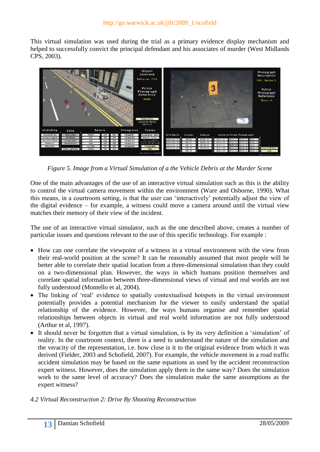This virtual simulation was used during the trial as a primary evidence display mechanism and helped to successfully convict the principal defendant and his associates of murder (West Midlands CPS, 2003).



*Figure 5. Image from a Virtual Simulation of a the Vehicle Debris at the Murder Scene*

One of the main advantages of the use of an interactive virtual simulation such as this is the ability to control the virtual camera movement within the environment (Ware and Osborne, 1990). What this means, in a courtroom setting, is that the user can 'interactively' potentially adjust the view of the digital evidence – for example, a witness could move a camera around until the virtual view matches their memory of their view of the incident.

The use of an interactive virtual simulator, such as the one described above, creates a number of particular issues and questions relevant to the use of this specific technology. For example :

- How can one correlate the viewpoint of a witness in a virtual environment with the view from their real-world position at the scene? It can be reasonably assumed that most people will be better able to correlate their spatial location from a three-dimensional simulation than they could on a two-dimensional plan. However, the ways in which humans position themselves and correlate spatial information between three-dimensional views of virtual and real worlds are not fully understood (Montello et al, 2004).
- The linking of 'real' evidence to spatially contextualised hotspots in the virtual environment potentially provides a potential mechanism for the viewer to easily understand the spatial relationship of the evidence. However, the ways humans organise and remember spatial relationships between objects in virtual and real world information are not fully understood (Arthur et al, 1997).
- It should never be forgotten that a virtual simulation, is by its very definition a 'simulation' of reality. In the courtroom context, there is a need to understand the nature of the simulation and the veracity of the representation, i.e. how close is it to the original evidence from which it was derived (Fielder, 2003 and Schofield, 2007). For example, the vehicle movement in a road traffic accident simulation may be based on the same equations as used by the accident reconstruction expert witness. However, does the simulation apply them in the same way? Does the simulation work to the same level of accuracy? Does the simulation make the same assumptions as the expert witness?

### *4.2 Virtual Reconstruction 2: Drive By Shooting Reconstruction*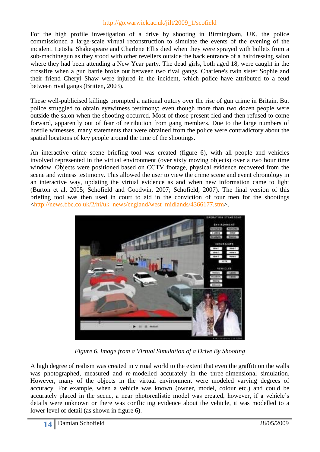For the high profile investigation of a drive by shooting in Birmingham, UK, the police commissioned a large-scale virtual reconstruction to simulate the events of the evening of the incident. Letisha Shakespeare and Charlene Ellis died when they were sprayed with bullets from a sub-machinegun as they stood with other revellers outside the back entrance of a hairdressing salon where they had been attending a New Year party. The dead girls, both aged 18, were caught in the crossfire when a gun battle broke out between two rival gangs. Charlene's twin sister Sophie and their friend Cheryl Shaw were injured in the incident, which police have attributed to a feud between rival gangs (Britten, 2003).

These well-publicised killings prompted a national outcry over the rise of gun crime in Britain. But police struggled to obtain eyewitness testimony; even though more than two dozen people were outside the salon when the shooting occurred. Most of those present fled and then refused to come forward, apparently out of fear of retribution from gang members. Due to the large numbers of hostile witnesses, many statements that were obtained from the police were contradictory about the spatial locations of key people around the time of the shootings.

An interactive crime scene briefing tool was created (figure 6), with all people and vehicles involved represented in the virtual environment (over sixty moving objects) over a two hour time window. Objects were positioned based on CCTV footage, physical evidence recovered from the scene and witness testimony. This allowed the user to view the crime scene and event chronology in an interactive way, updating the virtual evidence as and when new information came to light (Burton et al, 2005; Schofield and Goodwin, 2007; Schofield, 2007). The final version of this briefing tool was then used in court to aid in the conviction of four men for the shootings [<http://news.bbc.co.uk/2/hi/uk\\_news/england/west\\_midlands/4366177.stm>](http://news.bbc.co.uk/2/hi/uk_news/england/west_midlands/4366177.stm).



*Figure 6. Image from a Virtual Simulation of a Drive By Shooting*

A high degree of realism was created in virtual world to the extent that even the graffiti on the walls was photographed, measured and re-modelled accurately in the three-dimensional simulation. However, many of the objects in the virtual environment were modeled varying degrees of accuracy. For example, when a vehicle was known (owner, model, colour etc.) and could be accurately placed in the scene, a near photorealistic model was created, however, if a vehicle's details were unknown or there was conflicting evidence about the vehicle, it was modelled to a lower level of detail (as shown in figure 6).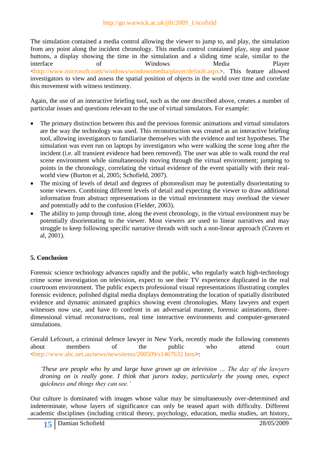The simulation contained a media control allowing the viewer to jump to, and play, the simulation from any point along the incident chronology. This media control contained play, stop and pause buttons, a display showing the time in the simulation and a sliding time scale, similar to the interface of Windows Media Player [<http://www.microsoft.com/windows/windowsmedia/player/default.aspx>](http://www.microsoft.com/windows/windowsmedia/player/default.aspx). This feature allowed investigators to view and assess the spatial position of objects in the world over time and correlate this movement with witness testimony.

Again, the use of an interactive briefing tool, such as the one described above, creates a number of particular issues and questions relevant to the use of virtual simulators. For example:

- The primary distinction between this and the previous forensic animations and virtual simulators are the way the technology was used. This reconstruction was created as an interactive briefing tool, allowing investigators to familiarise themselves with the evidence and test hypotheses. The simulation was even run on laptops by investigators who were walking the scene long after the incident (i.e. all transient evidence had been removed). The user was able to walk round the real scene environment while simultaneously moving through the virtual environment; jumping to points in the chronology, correlating the virtual evidence of the event spatially with their realworld view (Burton et al, 2005; Schofield, 2007).
- The mixing of levels of detail and degrees of photorealism may be potentially disorientating to some viewers. Combining different levels of detail and expecting the viewer to draw additional information from abstract representations in the virtual environment may overload the viewer and potentially add to the confusion (Fielder, 2003).
- The ability to jump through time, along the event chronology, in the virtual environment may be potentially disorientating to the viewer. Most viewers are used to linear narratives and may struggle to keep following specific narrative threads with such a non-linear approach (Craven et al, 2001).

# **5. Conclusion**

Forensic science technology advances rapidly and the public, who regularly watch high-technology crime scene investigation on television, expect to see their TV experience duplicated in the real courtroom environment. The public expects professional visual representations illustrating complex forensic evidence, polished digital media displays demonstrating the location of spatially distributed evidence and dynamic animated graphics showing event chronologies. Many lawyers and expert witnesses now use, and have to confront in an adversarial manner, forensic animations, threedimensional virtual reconstructions, real time interactive environments and computer-generated simulations.

Gerald Lefcourt, a criminal defence lawyer in New York, recently made the following comments about members of the public who attend court [<http://www.abc.net.au/news/newsitems/200509/s1467632.htm>](http://www.abc.net.au/news/newsitems/200509/s1467632.htm):

*'These are people who by and large have grown up on television … The day of the lawyers droning on is really gone. I think that jurors today, particularly the young ones, expect quickness and things they can see.'*

Our culture is dominated with images whose value may be simultaneously over-determined and indeterminate, whose layers of significance can only be teased apart with difficulty. Different academic disciplines (including critical theory, psychology, education, media studies, art history,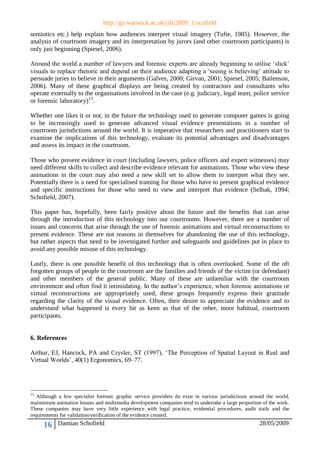semiotics etc.) help explain how audiences interpret visual imagery (Tufte, 1985). However, the analysis of courtroom imagery and its interpretation by jurors (and other courtroom participants) is only just beginning (Spiesel, 2006).

Around the world a number of lawyers and forensic experts are already beginning to utilise 'slick' visuals to replace rhetoric and depend on their audience adapting a 'seeing is believing' attitude to persuade juries to believe in their arguments (Galves, 2000; Girvan, 2001; Spiesel, 2005; Bailenson, 2006). Many of these graphical displays are being created by contractors and consultants who operate externally to the organisations involved in the case (e.g. judiciary, legal team, police service or forensic laboratory)<sup>13</sup>.

Whether one likes it or not, in the future the technology used to generate computer games is going to be increasingly used to generate advanced visual evidence presentations in a number of courtroom jurisdictions around the world. It is imperative that researchers and practitioners start to examine the implications of this technology, evaluate its potential advantages and disadvantages and assess its impact in the courtroom.

Those who present evidence in court (including lawyers, police officers and expert witnesses) may need different skills to collect and describe evidence relevant for animations. Those who view these animations in the court may also need a new skill set to allow them to interpret what they see. Potentially there is a need for specialised training for those who have to present graphical evidence and specific instructions for those who need to view and interpret that evidence (Selbak, 1994; Schofield, 2007).

This paper has, hopefully, been fairly positive about the future and the benefits that can arise through the introduction of this technology into our courtrooms. However, there are a number of issues and concerns that arise through the use of forensic animations and virtual reconstructions to present evidence. These are not reasons in themselves for abandoning the use of this technology, but rather aspects that need to be investigated further and safeguards and guidelines put in place to avoid any possible misuse of this technology.

Lastly, there is one possible benefit of this technology that is often overlooked. Some of the oft forgotten groups of people in the courtroom are the families and friends of the victim (or defendant) and other members of the general public. Many of these are unfamiliar with the courtroom environment and often find it intimidating. In the author's experience, when forensic animations or virtual reconstructions are appropriately used, these groups frequently express their gratitude regarding the clarity of the visual evidence. Often, their desire to appreciate the evidence and to understand what happened is every bit as keen as that of the other, more habitual, courtroom participants.

# **6. References**

1

Arthur, EJ, Hancock, PA and Crysler, ST (1997), 'The Perception of Spatial Layout in Real and Virtual Worlds', 40(1) Ergonomics, 69–77.

<sup>&</sup>lt;sup>13</sup> Although a few specialist forensic graphic service providers do exist in various jurisdictions around the world, mainstream animation houses and multimedia development companies tend to undertake a large proportion of the work. These companies may have very little experience with legal practice, evidential procedures, audit trails and the requirements for validation/verification of the evidence created.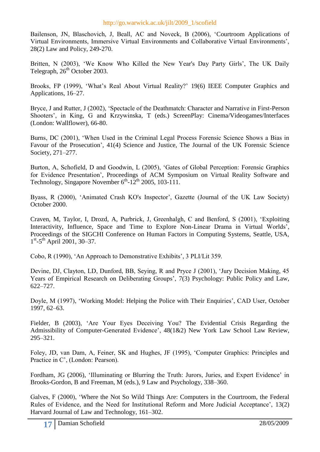Bailenson, JN, Blaschovich, J, Beall, AC and Noveck, B (2006), 'Courtroom Applications of Virtual Environments, Immersive Virtual Environments and Collaborative Virtual Environments', 28(2) Law and Policy, 249-270.

Britten, N (2003), 'We Know Who Killed the New Year's Day Party Girls', The UK Daily Telegraph, 26<sup>th</sup> October 2003.

Brooks, FP (1999), 'What's Real About Virtual Reality?' 19(6) IEEE Computer Graphics and Applications, 16–27.

Bryce, J and Rutter, J (2002), 'Spectacle of the Deathmatch: Character and Narrative in First-Person Shooters', in King, G and Krzywinska, T (eds.) ScreenPlay: Cinema/Videogames/Interfaces (London: Wallflower), 66-80.

Burns, DC (2001), 'When Used in the Criminal Legal Process Forensic Science Shows a Bias in Favour of the Prosecution', 41(4) Science and Justice, The Journal of the UK Forensic Science Society, 271–277.

Burton, A, Schofield, D and Goodwin, L (2005), 'Gates of Global Perception: Forensic Graphics for Evidence Presentation', Proceedings of ACM Symposium on Virtual Reality Software and Technology, Singapore November  $6^{th}$ -12<sup>th</sup> 2005, 103-111.

Byass, R (2000), 'Animated Crash KO's Inspector', Gazette (Journal of the UK Law Society) October 2000.

Craven, M, Taylor, I, Drozd, A, Purbrick, J, Greenhalgh, C and Benford, S (2001), 'Exploiting Interactivity, Influence, Space and Time to Explore Non-Linear Drama in Virtual Worlds', Proceedings of the SIGCHI Conference on Human Factors in Computing Systems, Seattle, USA, 1<sup>st</sup>-5<sup>th</sup> April 2001, 30-37.

Cobo, R (1990), 'An Approach to Demonstrative Exhibits', 3 PLI/Lit 359.

Devine, DJ, Clayton, LD, Dunford, BB, Seying, R and Pryce J (2001), 'Jury Decision Making, 45 Years of Empirical Research on Deliberating Groups', 7(3) Psychology: Public Policy and Law, 622–727.

Doyle, M (1997), 'Working Model: Helping the Police with Their Enquiries', CAD User, October 1997, 62–63.

Fielder, B (2003), 'Are Your Eyes Deceiving You? The Evidential Crisis Regarding the Admissibility of Computer-Generated Evidence', 48(1&2) New York Law School Law Review, 295–321.

Foley, JD, van Dam, A, Feiner, SK and Hughes, JF (1995), 'Computer Graphics: Principles and Practice in C', (London: Pearson).

Fordham, JG (2006), 'Illuminating or Blurring the Truth: Jurors, Juries, and Expert Evidence' in Brooks-Gordon, B and Freeman, M (eds.), 9 Law and Psychology, 338–360.

Galves, F (2000), 'Where the Not So Wild Things Are: Computers in the Courtroom, the Federal Rules of Evidence, and the Need for Institutional Reform and More Judicial Acceptance', 13(2) Harvard Journal of Law and Technology, 161–302.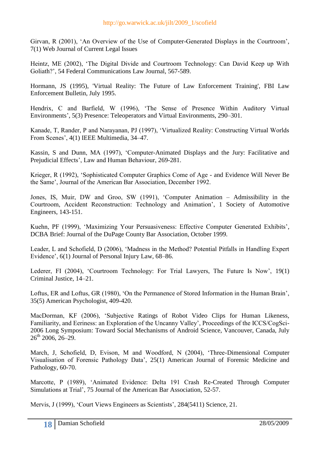Girvan, R (2001), 'An Overview of the Use of Computer-Generated Displays in the Courtroom', 7(1) Web Journal of Current Legal Issues

Heintz, ME (2002), 'The Digital Divide and Courtroom Technology: Can David Keep up With Goliath?', 54 Federal Communications Law Journal, 567-589.

Hormann, JS (1995), 'Virtual Reality: The Future of Law Enforcement Training', FBI Law Enforcement Bulletin, July 1995.

Hendrix, C and Barfield, W (1996), 'The Sense of Presence Within Auditory Virtual Environments', 5(3) Presence: Teleoperators and Virtual Environments, 290–301.

Kanade, T, Rander, P and Narayanan, PJ (1997), 'Virtualized Reality: Constructing Virtual Worlds From Scenes', 4(1) IEEE Multimedia, 34–47.

Kassin, S and Dunn, MA (1997), 'Computer-Animated Displays and the Jury: Facilitative and Prejudicial Effects', Law and Human Behaviour, 269-281.

Krieger, R (1992), 'Sophisticated Computer Graphics Come of Age - and Evidence Will Never Be the Same', Journal of the American Bar Association, December 1992.

Jones, IS, Muir, DW and Groo, SW (1991), 'Computer Animation – Admissibility in the Courtroom, Accident Reconstruction: Technology and Animation', 1 Society of Automotive Engineers, 143-151.

Kuehn, PF (1999), 'Maximizing Your Persuasiveness: Effective Computer Generated Exhibits', DCBA Brief: Journal of the DuPage County Bar Association, October 1999.

Leader, L and Schofield, D (2006), 'Madness in the Method? Potential Pitfalls in Handling Expert Evidence', 6(1) Journal of Personal Injury Law, 68–86.

Lederer, FI (2004), 'Courtroom Technology: For Trial Lawyers, The Future Is Now', 19(1) Criminal Justice, 14–21.

Loftus, ER and Loftus, GR (1980), 'On the Permanence of Stored Information in the Human Brain', 35(5) American Psychologist, 409-420.

MacDorman, KF (2006), 'Subjective Ratings of Robot Video Clips for Human Likeness, Familiarity, and Eeriness: an Exploration of the Uncanny Valley', Proceedings of the ICCS/CogSci-2006 Long Symposium: Toward Social Mechanisms of Android Science, Vancouver, Canada, July  $26^{th}$  2006,  $26-29$ .

March, J, Schofield, D, Evison, M and Woodford, N (2004), 'Three-Dimensional Computer Visualisation of Forensic Pathology Data', 25(1) American Journal of Forensic Medicine and Pathology, 60-70.

Marcotte, P (1989), 'Animated Evidence: Delta 191 Crash Re-Created Through Computer Simulations at Trial', 75 Journal of the American Bar Association, 52-57.

Mervis, J (1999), 'Court Views Engineers as Scientists', 284(5411) Science, 21.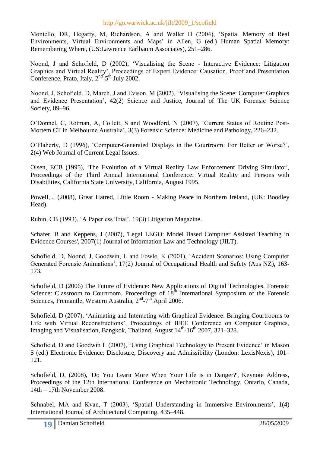Montello, DR, Hegarty, M, Richardson, A and Waller D (2004), 'Spatial Memory of Real Environments, Virtual Environments and Maps' in Allen, G (ed.) Human Spatial Memory: Remembering Where, (US:Lawrence Earlbaum Associates), 251–286.

Noond, J and Schofield, D (2002), 'Visualising the Scene - Interactive Evidence: Litigation Graphics and Virtual Reality', Proceedings of Expert Evidence: Causation, Proof and Presentation Conference, Prato, Italy,  $2<sup>nd</sup> - 5<sup>th</sup>$  July 2002.

Noond, J, Schofield, D, March, J and Evison, M (2002), 'Visualising the Scene: Computer Graphics and Evidence Presentation', 42(2) Science and Justice, Journal of The UK Forensic Science Society, 89–96.

O'Donnel, C, Rotman, A, Collett, S and Woodford, N (2007), 'Current Status of Routine Post-Mortem CT in Melbourne Australia', 3(3) Forensic Science: Medicine and Pathology, 226–232.

O'Flaherty, D (1996), 'Computer-Generated Displays in the Courtroom: For Better or Worse?', 2(4) Web Journal of Current Legal Issues.

Olsen, ECB (1995), 'The Evolution of a Virtual Reality Law Enforcement Driving Simulator', Proceedings of the Third Annual International Conference: Virtual Reality and Persons with Disabilities, California State University, California, August 1995.

Powell, J (2008), Great Hatred, Little Room - Making Peace in Northern Ireland, (UK: Boodley Head).

Rubin, CB (1993), 'A Paperless Trial', 19(3) Litigation Magazine.

Schafer, B and Keppens, J (2007), 'Legal LEGO: Model Based Computer Assisted Teaching in Evidence Courses', 2007(1) Journal of Information Law and Technology (JILT).

Schofield, D, Noond, J, Goodwin, L and Fowle, K (2001), 'Accident Scenarios: Using Computer Generated Forensic Animations', 17(2) Journal of Occupational Health and Safety (Aus NZ), 163- 173.

Schofield, D (2006) The Future of Evidence: New Applications of Digital Technologies, Forensic Science: Classroom to Courtroom, Proceedings of 18<sup>th</sup> International Symposium of the Forensic Sciences, Fremantle, Western Australia, 2<sup>nd</sup>-7<sup>th</sup> April 2006.

Schofield, D (2007), 'Animating and Interacting with Graphical Evidence: Bringing Courtrooms to Life with Virtual Reconstructions', Proceedings of IEEE Conference on Computer Graphics, Imaging and Visualisation, Bangkok, Thailand, August 14<sup>th</sup>-16<sup>th</sup> 2007, 321–328.

Schofield, D and Goodwin L (2007), 'Using Graphical Technology to Present Evidence' in Mason S (ed.) Electronic Evidence: Disclosure, Discovery and Admissibility (London: LexisNexis), 101– 121.

Schofield, D, (2008), 'Do You Learn More When Your Life is in Danger?', Keynote Address, Proceedings of the 12th International Conference on Mechatronic Technology, Ontario, Canada, 14th – 17th November 2008.

Schnabel, MA and Kvan, T (2003), 'Spatial Understanding in Immersive Environments', 1(4) International Journal of Architectural Computing, 435–448.